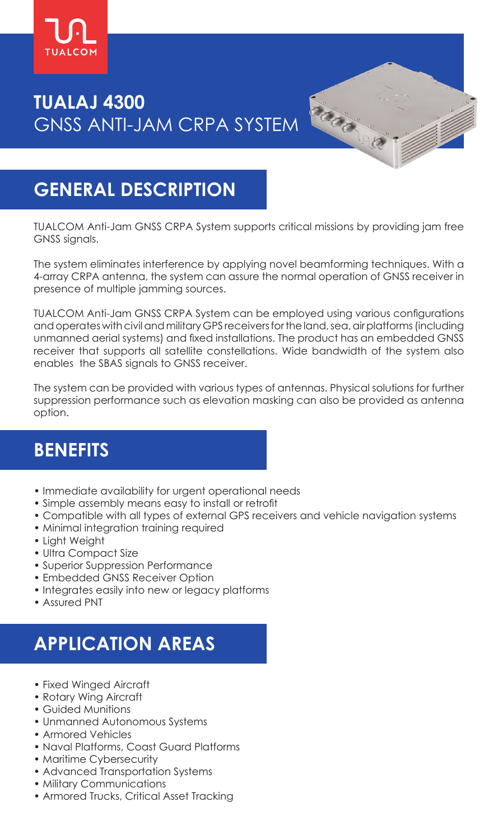

# **TUALAJ 4300** GNSS ANTI-JAM CRPA SYSTEM

# **GENERAL DESCRIPTION**

TUALCOM Anti-Jam GNSS CRPA System supports critical missions by providing jam free GNSS signals.

Garan

The system eliminates interference by applying novel beamforming techniques. With a 4-array CRPA antenna, the system can assure the normal operation of GNSS receiver in presence of multiple jamming sources.

TUALCOM Anti-Jam GNSS CRPA System can be employed using various configurations and operates with civil and military GPS receivers for the land, sea, air platforms (including unmanned aerial systems) and fixed installations. The product has an embedded GNSS receiver that supports all satellite constellations. Wide bandwidth of the system also enables the SBAS signals to GNSS receiver.

The system can be provided with various types of antennas. Physical solutions for further suppression performance such as elevation masking can also be provided as antenna option.

## **BENEFITS**

- Immediate availability for urgent operational needs
- Simple assembly means easy to install or retrofit
- Compatible with all types of external GPS receivers and vehicle navigation systems
- Minimal integration training required
- Light Weight
- Ultra Compact Size
- Superior Suppression Performance
- Embedded GNSS Receiver Option
- Integrates easily into new or legacy platforms
- Assured PNT

# **APPLICATION AREAS**

- Fixed Winged Aircraft
- Rotary Wing Aircraft
- Guided Munitions
- Unmanned Autonomous Systems
- Armored Vehicles
- Naval Platforms, Coast Guard Platforms
- Maritime Cybersecurity
- Advanced Transportation Systems
- Military Communications
- Armored Trucks, Critical Asset Tracking